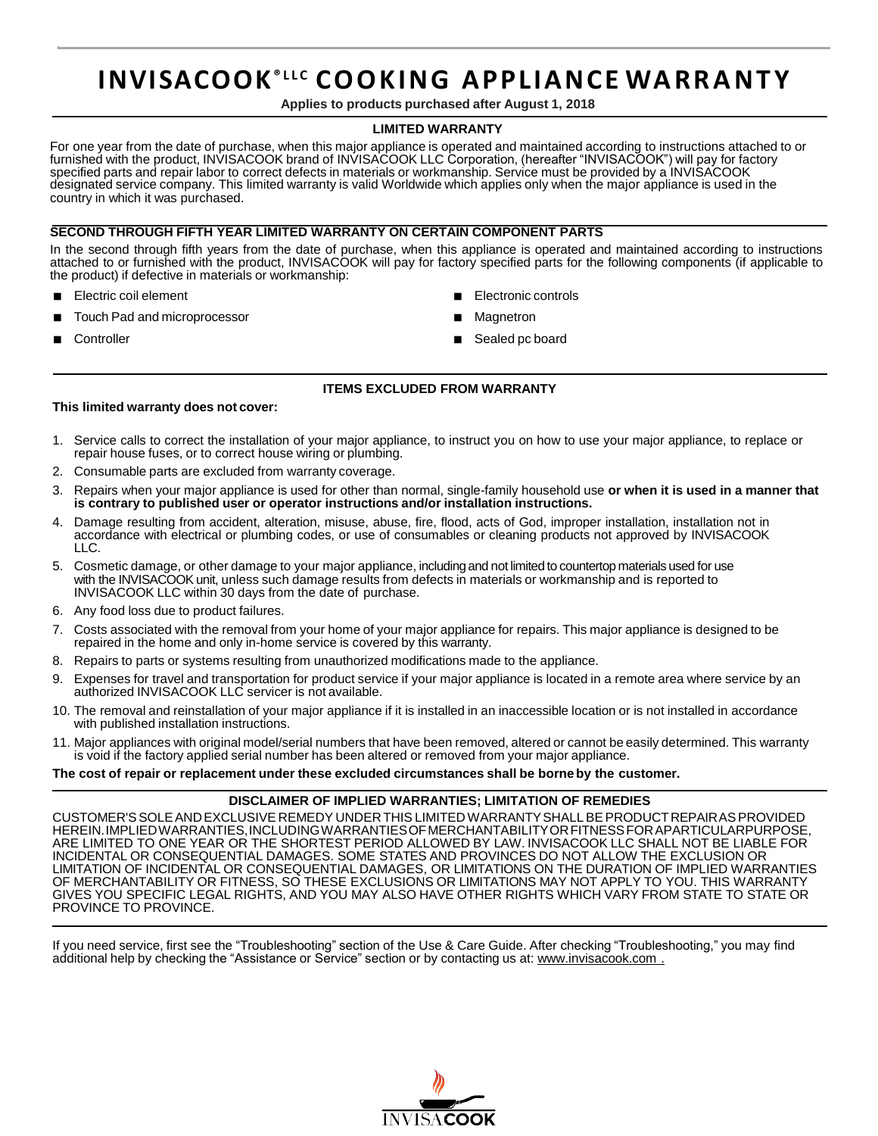# **INVISACOOK® L L C CO O KI NG APPLIANCE WA R R A N T Y**

**Applies to products purchased after August 1, 2018**

## **LIMITED WARRANTY**

For one year from the date of purchase, when this major appliance is operated and maintained according to instructions attached to or furnished with the product, INVISACOOK brand of INVISACOOK LLC Corporation, (hereafter "INVISACOOK") will pay for factory specified parts and repair labor to correct defects in materials or workmanship. Service must be provided by a INVISACOOK designated service company. This limited warranty is valid Worldwide which applies only when the major appliance is used in the country in which it was purchased.

## **SECOND THROUGH FIFTH YEAR LIMITED WARRANTY ON CERTAIN COMPONENT PARTS**

In the second through fifth years from the date of purchase, when this appliance is operated and maintained according to instructions attached to or furnished with the product, INVISACOOK will pay for factory specified parts for the following components (if applicable to the product) if defective in materials or workmanship:

- Electric coil element
- Touch Pad and microprocessor
- Electronic controls
- **Magnetron**

**Controller** 

Sealed pc board

## **ITEMS EXCLUDED FROM WARRANTY**

## **This limited warranty does not cover:**

- 1. Service calls to correct the installation of your major appliance, to instruct you on how to use your major appliance, to replace or repair house fuses, or to correct house wiring or plumbing.
- 2. Consumable parts are excluded from warranty coverage.
- 3. Repairs when your major appliance is used for other than normal, single-family household use **or when it is used in a manner that is contrary to published user or operator instructions and/or installation instructions.**
- 4. Damage resulting from accident, alteration, misuse, abuse, fire, flood, acts of God, improper installation, installation not in accordance with electrical or plumbing codes, or use of consumables or cleaning products not approved by INVISACOOK LLC.
- 5. Cosmetic damage, or other damage to your major appliance, includingand not limited to countertop materialsused for use with the INVISACOOK unit, unless such damage results from defects in materials or workmanship and is reported to INVISACOOK LLC within 30 days from the date of purchase.
- 6. Any food loss due to product failures.
- 7. Costs associated with the removal from your home of your major appliance for repairs. This major appliance is designed to be repaired in the home and only in-home service is covered by this warranty.
- 8. Repairs to parts or systems resulting from unauthorized modifications made to the appliance.
- 9. Expenses for travel and transportation for product service if your major appliance is located in a remote area where service by an authorized INVISACOOK LLC servicer is not available.
- 10. The removal and reinstallation of your major appliance if it is installed in an inaccessible location or is not installed in accordance with published installation instructions.
- 11. Major appliances with original model/serial numbers that have been removed, altered or cannot be easily determined. This warranty is void if the factory applied serial number has been altered or removed from your major appliance.

**The cost of repair or replacement under these excluded circumstances shall be borne by the customer.**

## **DISCLAIMER OF IMPLIED WARRANTIES; LIMITATION OF REMEDIES**

CUSTOMER'SSOLEANDEXCLUSIVE REMEDY UNDER THIS LIMITEDWARRANTYSHALLBEPRODUCTREPAIRASPROVIDED HEREIN.IMPLIEDWARRANTIES,INCLUDINGWARRANTIESOFMERCHANTABILITYORFITNESSFORAPARTICULARPURPOSE, ARE LIMITED TO ONE YEAR OR THE SHORTEST PERIOD ALLOWED BY LAW. INVISACOOK LLC SHALL NOT BE LIABLE FOR INCIDENTAL OR CONSEQUENTIAL DAMAGES. SOME STATES AND PROVINCES DO NOT ALLOW THE EXCLUSION OR LIMITATION OF INCIDENTAL OR CONSEQUENTIAL DAMAGES, OR LIMITATIONS ON THE DURATION OF IMPLIED WARRANTIES OF MERCHANTABILITY OR FITNESS, SO THESE EXCLUSIONS OR LIMITATIONS MAY NOT APPLY TO YOU. THIS WARRANTY GIVES YOU SPECIFIC LEGAL RIGHTS, AND YOU MAY ALSO HAVE OTHER RIGHTS WHICH VARY FROM STATE TO STATE OR PROVINCE TO PROVINCE.

If you need service, first see the "Troubleshooting" section of the Use & Care Guide. After checking "Troubleshooting," you may find additional help by checking the "Assistance or Service" section or by contacting us at: [www.invisacook.com](http://www.invisacook.com/) .

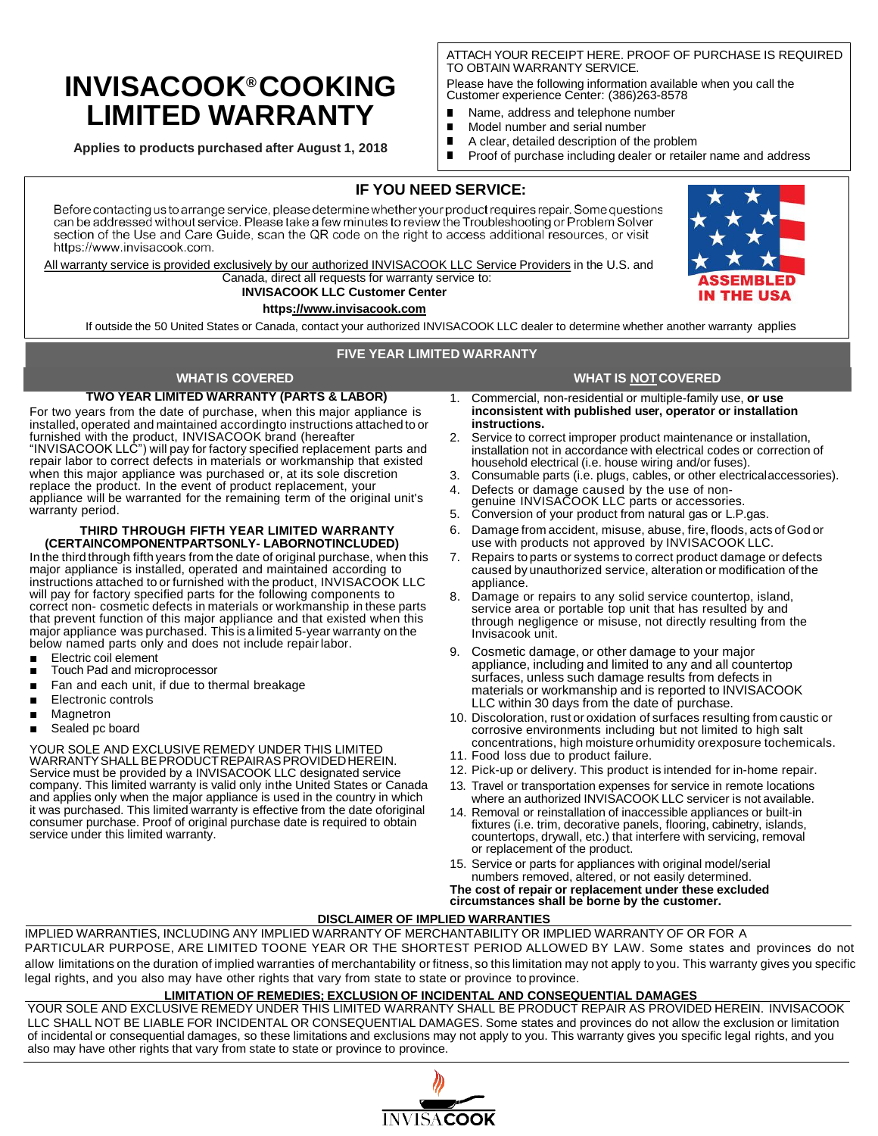## **INVISACOOK® COOKING LIMITED WARRANTY**

**Applies to products purchased after August 1, 2018**

ATTACH YOUR RECEIPT HERE. PROOF OF PURCHASE IS REQUIRED TO OBTAIN WARRANTY SERVICE.

Please have the following information available when you call the Customer experience Center: (386)263-8578

- $\blacksquare$ Name, address and telephone number
- Model number and serial number Г
- A clear, detailed description of the problem

Proof of purchase including dealer or retailer name and address

## **IF YOU NEED SERVICE:**

Before contacting us to arrange service, please determine whether your product requires repair. Some questions can be addressed without service. Please take a few minutes to review the Troubleshooting or Problem Solver section of the Use and Care Guide, scan the QR code on the right to access additional resources, or visit https://www.invisacook.com.

All warranty service is provided exclusively by our authorized INVISACOOK LLC Service Providers in the U.S. and Canada, direct all requests for warranty service to:

#### **INVISACOOK LLC Customer Center http[s://www.invisacook.com](http://www.invisacook.com/)**

If outside the 50 United States or Canada, contact your authorized INVISACOOK LLC dealer to determine whether another warranty applies

## **FIVE YEAR LIMITED WARRANTY**

## **WHAT IS COVERED WHAT IS NOTCOVERED**

**TWO YEAR LIMITED WARRANTY (PARTS & LABOR)** For two years from the date of purchase, when this major appliance is

installed, operated and maintained accordingto instructions attached to or furnished with the product, INVISACOOK brand (hereafter "INVISACOOK LLC") will pay for factory specified replacement parts and repair labor to correct defects in materials or workmanship that existed when this major appliance was purchased or, at its sole discretion replace the product. In the event of product replacement, your appliance will be warranted for the remaining term of the original unit's warranty period.

#### **THIRD THROUGH FIFTH YEAR LIMITED WARRANTY (CERTAINCOMPONENTPARTSONLY- LABORNOTINCLUDED)**

In the third through fifth years from the date of original purchase, when this major appliance is installed, operated and maintained according to instructions attached to or furnished with the product, INVISACOOK LLC will pay for factory specified parts for the following components to correct non- cosmetic defects in materials or workmanship in these parts that prevent function of this major appliance and that existed when this major appliance was purchased. This is a limited 5-year warranty on the below named parts only and does not include repairlabor.

- Electric coil element
- Touch Pad and microprocessor
- Fan and each unit, if due to thermal breakage
- **Electronic controls**
- **Magnetron**
- Sealed pc board

#### YOUR SOLE AND EXCLUSIVE REMEDY UNDER THIS LIMITED WARRANTYSHALLBEPRODUCTREPAIRASPROVIDEDHEREIN. Service must be provided by a INVISACOOK LLC designated service company. This limited warranty is valid only inthe United States or Canada and applies only when the major appliance is used in the country in which it was purchased. This limited warranty is effective from the date oforiginal consumer purchase. Proof of original purchase date is required to obtain service under this limited warranty.

- 1. Commercial, non-residential or multiple-family use, **or use inconsistent with published user, operator or installation instructions.**
- 2. Service to correct improper product maintenance or installation, installation not in accordance with electrical codes or correction of household electrical (i.e. house wiring and/or fuses).
- 3. Consumable parts (i.e. plugs, cables, or other electricalaccessories).
- 4. Defects or damage caused by the use of non-genuine INVISACOOK LLC parts or accessories.
- 5. Conversion of your product from natural gas or L.P.gas.
- 6. Damage from accident, misuse, abuse, fire, floods, acts of God or use with products not approved by INVISACOOK LLC.
- 7. Repairs to parts or systems to correct product damage or defects caused by unauthorized service, alteration or modification of the appliance.
- 8. Damage or repairs to any solid service countertop, island, service area or portable top unit that has resulted by and through negligence or misuse, not directly resulting from the Invisacook unit.
- 9. Cosmetic damage, or other damage to your major appliance, including and limited to any and all countertop surfaces, unless such damage results from defects in materials or workmanship and is reported to INVISACOOK LLC within 30 days from the date of purchase.
- 10. Discoloration, rust or oxidation of surfaces resulting from caustic or corrosive environments including but not limited to high salt concentrations, high moisture orhumidity orexposure tochemicals.
- 11. Food loss due to product failure.
- 12. Pick-up or delivery. This product is intended for in-home repair.
- 13. Travel or transportation expenses for service in remote locations
- where an authorized INVISACOOK LLC servicer is not available. 14. Removal or reinstallation of inaccessible appliances or built-in fixtures (i.e. trim, decorative panels, flooring, cabinetry, islands, countertops, drywall, etc.) that interfere with servicing, removal or replacement of the product.
- 15. Service or parts for appliances with original model/serial numbers removed, altered, or not easily determined.

**The cost of repair or replacement under these excluded circumstances shall be borne by the customer.**

## **DISCLAIMER OF IMPLIED WARRANTIES**

IMPLIED WARRANTIES, INCLUDING ANY IMPLIED WARRANTY OF MERCHANTABILITY OR IMPLIED WARRANTY OF OR FOR A PARTICULAR PURPOSE, ARE LIMITED TOONE YEAR OR THE SHORTEST PERIOD ALLOWED BY LAW. Some states and provinces do not allow limitations on the duration of implied warranties of merchantability or fitness, so this limitation may not apply to you. This warranty gives you specific legal rights, and you also may have other rights that vary from state to state or province to province.

## **LIMITATION OF REMEDIES; EXCLUSION OF INCIDENTAL AND CONSEQUENTIAL DAMAGES**

YOUR SOLE AND EXCLUSIVE REMEDY UNDER THIS LIMITED WARRANTY SHALL BE PRODUCT REPAIR AS PROVIDED HEREIN. INVISACOOK LLC SHALL NOT BE LIABLE FOR INCIDENTAL OR CONSEQUENTIAL DAMAGES. Some states and provinces do not allow the exclusion or limitation of incidental or consequential damages, so these limitations and exclusions may not apply to you. This warranty gives you specific legal rights, and you also may have other rights that vary from state to state or province to province.